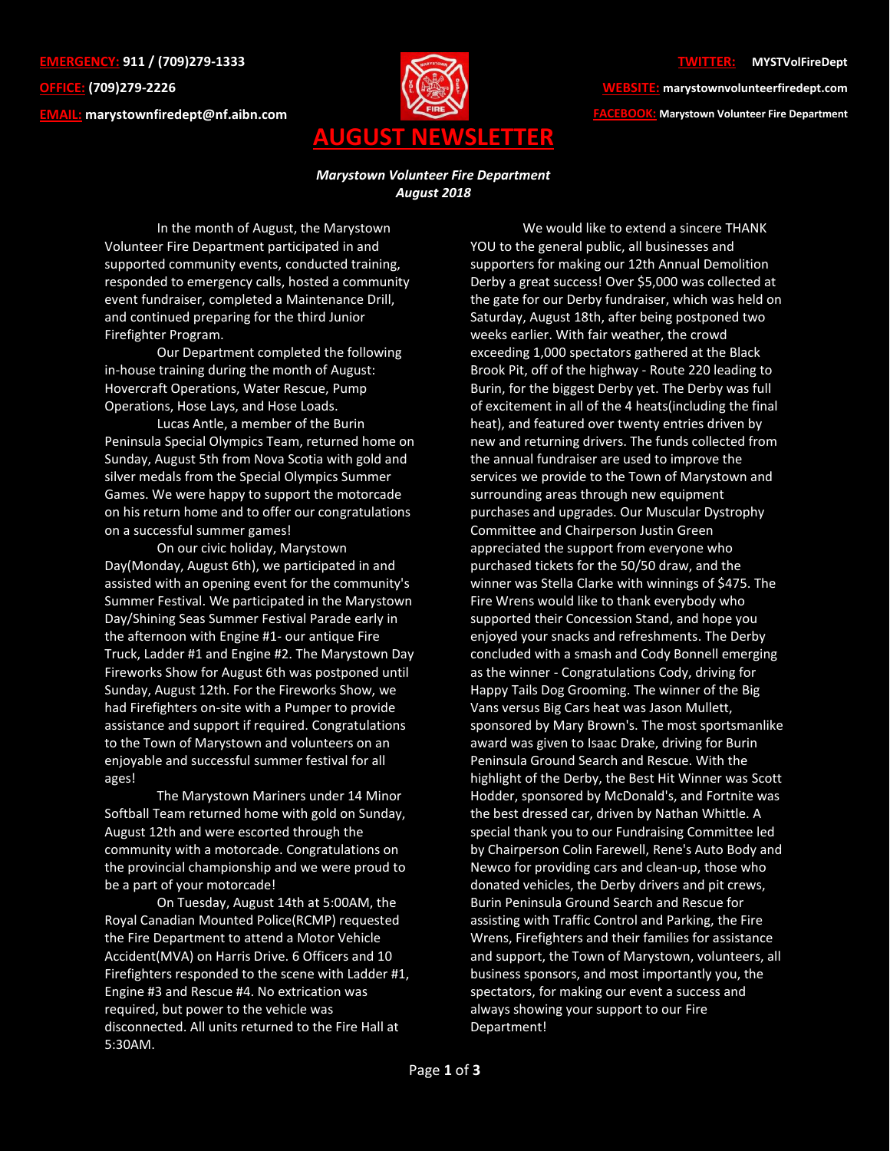**EMERGENCY: 911 / (709)279-1333 OFFICE: (709)279-2226 EMAIL: [marystownfiredept@nf.aibn.com](mailto:marystownfiredept@nf.aibn.com)**



## **TWITTER: @MYSTVolFireDept**

**WEBSITE: marystownvolunteerfiredept.com FACEBOOK: Marystown Volunteer Fire Department**

## *Marystown Volunteer Fire Department August 2018*

In the month of August, the Marystown Volunteer Fire Department participated in and supported community events, conducted training, responded to emergency calls, hosted a community event fundraiser, completed a Maintenance Drill, and continued preparing for the third Junior Firefighter Program.

Our Department completed the following in-house training during the month of August: Hovercraft Operations, Water Rescue, Pump Operations, Hose Lays, and Hose Loads.

Lucas Antle, a member of the Burin Peninsula Special Olympics Team, returned home on Sunday, August 5th from Nova Scotia with gold and silver medals from the Special Olympics Summer Games. We were happy to support the motorcade on his return home and to offer our congratulations on a successful summer games!

On our civic holiday, Marystown Day(Monday, August 6th), we participated in and assisted with an opening event for the community's Summer Festival. We participated in the Marystown Day/Shining Seas Summer Festival Parade early in the afternoon with Engine #1- our antique Fire Truck, Ladder #1 and Engine #2. The Marystown Day Fireworks Show for August 6th was postponed until Sunday, August 12th. For the Fireworks Show, we had Firefighters on-site with a Pumper to provide assistance and support if required. Congratulations to the Town of Marystown and volunteers on an enjoyable and successful summer festival for all ages!

The Marystown Mariners under 14 Minor Softball Team returned home with gold on Sunday, August 12th and were escorted through the community with a motorcade. Congratulations on the provincial championship and we were proud to be a part of your motorcade!

On Tuesday, August 14th at 5:00AM, the Royal Canadian Mounted Police(RCMP) requested the Fire Department to attend a Motor Vehicle Accident(MVA) on Harris Drive. 6 Officers and 10 Firefighters responded to the scene with Ladder #1, Engine #3 and Rescue #4. No extrication was required, but power to the vehicle was disconnected. All units returned to the Fire Hall at 5:30AM.

We would like to extend a sincere THANK YOU to the general public, all businesses and supporters for making our 12th Annual Demolition Derby a great success! Over \$5,000 was collected at the gate for our Derby fundraiser, which was held on Saturday, August 18th, after being postponed two weeks earlier. With fair weather, the crowd exceeding 1,000 spectators gathered at the Black Brook Pit, off of the highway - Route 220 leading to Burin, for the biggest Derby yet. The Derby was full of excitement in all of the 4 heats(including the final heat), and featured over twenty entries driven by new and returning drivers. The funds collected from the annual fundraiser are used to improve the services we provide to the Town of Marystown and surrounding areas through new equipment purchases and upgrades. Our Muscular Dystrophy Committee and Chairperson Justin Green appreciated the support from everyone who purchased tickets for the 50/50 draw, and the winner was Stella Clarke with winnings of \$475. The Fire Wrens would like to thank everybody who supported their Concession Stand, and hope you enjoyed your snacks and refreshments. The Derby concluded with a smash and Cody Bonnell emerging as the winner - Congratulations Cody, driving for Happy Tails Dog Grooming. The winner of the Big Vans versus Big Cars heat was Jason Mullett, sponsored by Mary Brown's. The most sportsmanlike award was given to Isaac Drake, driving for Burin Peninsula Ground Search and Rescue. With the highlight of the Derby, the Best Hit Winner was Scott Hodder, sponsored by McDonald's, and Fortnite was the best dressed car, driven by Nathan Whittle. A special thank you to our Fundraising Committee led by Chairperson Colin Farewell, Rene's Auto Body and Newco for providing cars and clean-up, those who donated vehicles, the Derby drivers and pit crews, Burin Peninsula Ground Search and Rescue for assisting with Traffic Control and Parking, the Fire Wrens, Firefighters and their families for assistance and support, the Town of Marystown, volunteers, all business sponsors, and most importantly you, the spectators, for making our event a success and always showing your support to our Fire Department!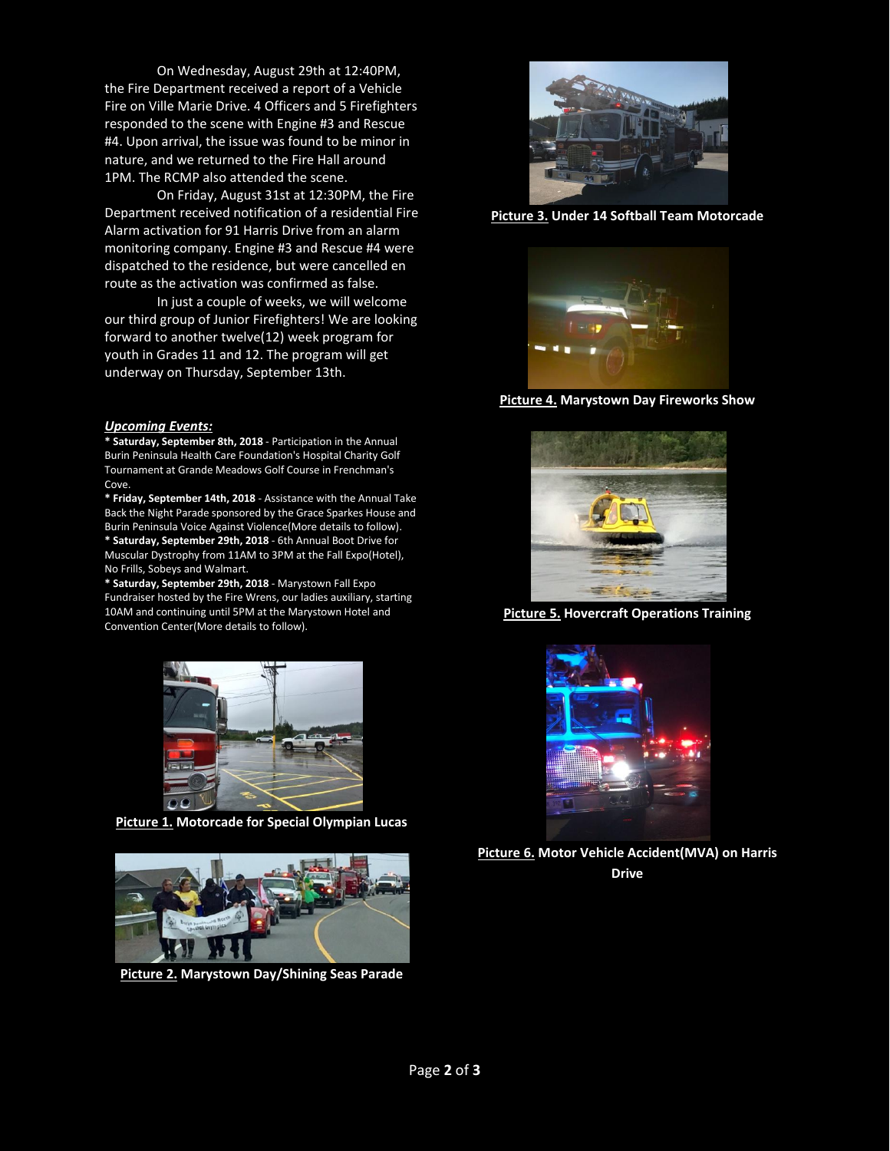On Wednesday, August 29th at 12:40PM, the Fire Department received a report of a Vehicle Fire on Ville Marie Drive. 4 Officers and 5 Firefighters responded to the scene with Engine #3 and Rescue #4. Upon arrival, the issue was found to be minor in nature, and we returned to the Fire Hall around 1PM. The RCMP also attended the scene.

On Friday, August 31st at 12:30PM, the Fire Department received notification of a residential Fire Alarm activation for 91 Harris Drive from an alarm monitoring company. Engine #3 and Rescue #4 were dispatched to the residence, but were cancelled en route as the activation was confirmed as false.

In just a couple of weeks, we will welcome our third group of Junior Firefighters! We are looking forward to another twelve(12) week program for youth in Grades 11 and 12. The program will get underway on Thursday, September 13th.

## *Upcoming Events:*

**\* Saturday, September 8th, 2018** - Participation in the Annual Burin Peninsula Health Care Foundation's Hospital Charity Golf Tournament at Grande Meadows Golf Course in Frenchman's Cove.

**\* Friday, September 14th, 2018** - Assistance with the Annual Take Back the Night Parade sponsored by the Grace Sparkes House and Burin Peninsula Voice Against Violence(More details to follow). **\* Saturday, September 29th, 2018** - 6th Annual Boot Drive for Muscular Dystrophy from 11AM to 3PM at the Fall Expo(Hotel), No Frills, Sobeys and Walmart.

**\* Saturday, September 29th, 2018** - Marystown Fall Expo Fundraiser hosted by the Fire Wrens, our ladies auxiliary, starting 10AM and continuing until 5PM at the Marystown Hotel and Convention Center(More details to follow).



**Picture 1. Motorcade for Special Olympian Lucas**



**Picture 2. Marystown Day/Shining Seas Parade**



**Picture 3. Under 14 Softball Team Motorcade**



**Picture 4. Marystown Day Fireworks Show**



**Picture 5. Hovercraft Operations Training**



**Picture 6. Motor Vehicle Accident(MVA) on Harris Drive**